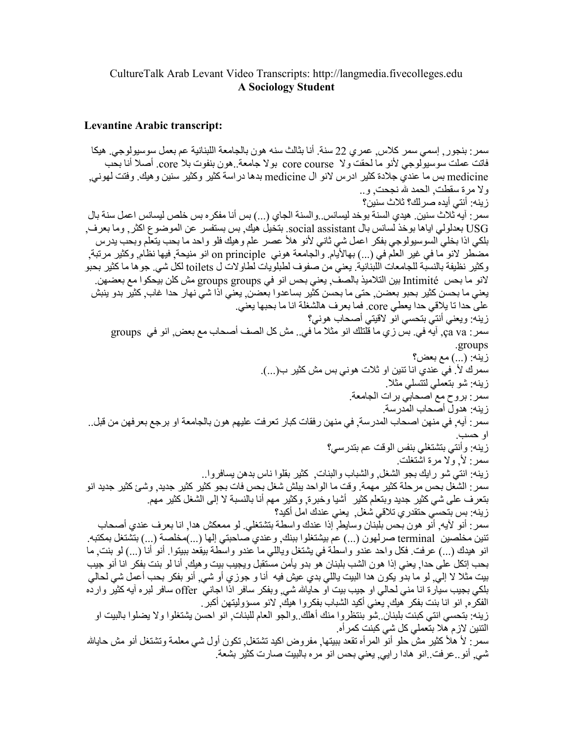## CultureTalk Arab Levant Video Transcripts: http://langmedia.fivecolleges.edu **A Sociology Student**

## **Levantine Arabic transcript:**

سمر : بنجور , إسمى سمر كلاس ـ عمر ي 22 سنة . أنا بثالث سنه هون بالجامعة اللبنانية عم بعمل سوسيولوجي ـ هيكا فاتت عملت سوسيولوجي لأنو ما لحقت ولا عcore course بولا جامعة فصون بنفوت بلا core. أصلا أنا بحب medicine بس ما عندي جلادة كثير ادرس لانو ال medicine بدها دراسة كثير وكثير سنين وهيك. وفتت لمهوني, ولا مرة سقطت الحمد لله نجحت و .. زينه: أنتي أيده صر لك؟ ثلاث سنين؟ سمر : آيه ثلاث سنين هيدي السنة بوخد ليسانس والسنة الجاي (…) بس أنا مفكر ه بس خلص ليسانس اعمل سنة بال USG بعدلولي اياها بوخذ لسانس بال social assistant. بتخيل هيك بس بستفسر عن الموضوع اكثر , وما بعر ف بلكي اذا بخلي السوسيولوجي بفكر اعمل شي ثاني لأنو هلأ عصر علم وهيك فلو واحد ما بحب يتعلم وبحب يدرس مضطر لانو ما في غير العلم في (...) بهالأيام والجامعة هوني on principle انو منيحة ٍ فيها نظام وكثير مرتبة ٍ وكثير نظيفة بالنسبة للجامعات اللبنانية. يعني من صفوف لطبلويات لطاولات ل toilets لكل شي. جو ها ما كثير بحبو لانو ما بحس £Intimit بين التلاميذ بالصف, يعني بحس انو في groups groups مش كلن بيحكوا مع بعضهن. يعني ما بحسن كثير بحبو بعضن٬ حتى ما بحسن كثير بساعدوا بعضن٬ يعني اذا شي نهار حدا غاب٬ كثير بدو ينبش على حدا نا يلاقي حدا يعطي core. فما بعرف هالشغلة انا ما بحبها يعني<sub>.</sub> زينه: ويعني أنتي بتحسى انو لاقيتي أصحاب هوني؟ سمر : ca va , آيه في بس زي ما قلتلك انو مثلا ما في . مش كل الصف أصحاب مع بعض انو في groups و .groups زينه: (...) مع بعض؟ سمرك لأ. في عندي انا نتين او ثلات هوني بس مش كثير ب(...). زينه: شو بتعملي لتتسلَّى مثلاً. سمر : بروح مع اصحابي برات الجامعة. ز ينه: هدو ل أصحاب المدر سة. سمر : آيه ٍ في منهن اصحاب المدرسة ٍ في منهن رفقات كبار تعرفت عليهم هون بالجامعة او برجع بعرفهن من قبل . او حسب ِ زينه: وأنتي بتشتغلي بنفس الوقت عم بتدرسي؟ سمر : لأ ولا مرة اشتغلت زينه: انتي شو رايك بجو الشغل والشباب والبنات كثير بقلوا ناس بدهن يسافروا . سمر : الشغل بحس مرحلة كثير مهمة. وقت ما الواحد يبلش شغل بحس فات بجو كثير كثير جديد, وشئ كثير جديد انو بتعرف على شي كثير جديد وبتعلم كثير ۖ أشيا وخبرة, وكثير مهم أنا بالنسبة لا إلى الشغل كثير مهم. زينه: بس بنحسي حنقدري تلاقي شغل. يعني عندك امل أكبد؟ سمر : أنو لأبيه أنَّو هون بحس بلَّبنان وسابط ٓ إذا عندك واسطة بتشتغلي ٍ لو ممعكش هدا ٍ انا بعرف عندي أصحاب تنين مخلصين terminal صرلهون (...) عم بيشتغلوا ببنك, وعندي صاحبتي إلها (...)مخلصة (...) بتشتغل بمكتبه ِ انو هيدك (...) عرفت. فكل واحد عندو واسطة في يشتغل وياللي ما عندو واسطة بيقعد ببيتوا. أنو أنا (...) لو بنت, ما بحب إتكل على حدا٬ يعني إذا هون الشب بلبنان هو بدو يأمن مستقبل ويجيب بيت وهيك٬ أنا لو بنت بفكر انا أنو جيب بيت مثلا لا إليّ لو ما بدو يكون هدا البيت ياللي بدي عيش فيه أنا و جوزي أو شي ٍ أنو بفكر بحب أعمل شي لحالي بلکی بجیب سیارة انا منی لحالی او جیب بیت او حایالله شی وبفکر سافر اذا اجانی offer سافر لبره آیه کثیر وارده الفكرَّ م. انو انا بنت بفكر ۖ هيك ۪ يعني أكيد الشباب بفكروا ۖ هيك ۭ لانو مسؤوليتهن أكبر . زينه: بنحسى انتي كبنت بلبنان شو بنتظروا منك أهلك والجو العام للبنات انو احسن يشتغلوا ولا يضلوا بالبيت او التنين لازم هلا بتعملي كل شي كبنت كمر أه. سمر : لأ هلأ كثير مش حلو أنو المرأه تقعد ببيتها ٍ مفروض اكيد تشتغل ٍ تكون أول شي معلمة وتشتغل أنو مش حايالله شي أنو . عر فت . انو ٍ هادا ر ابي . يعني بحس انو ٍ مر ه بالبيت صـار ت كثير ۖ بشعة ِ.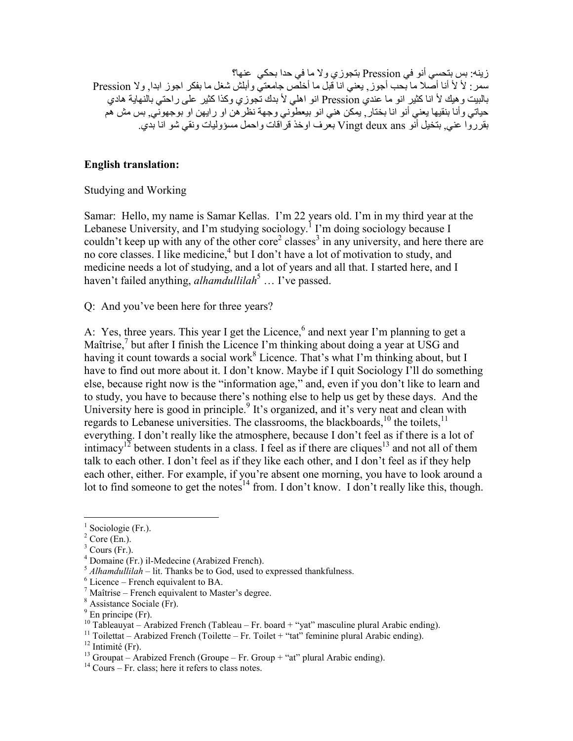زينه: بس بتحسي أنو في Pression بتجوزي ولا ما في حدا بحكي عنها؟ بالبيت وهيك لأ انا كثير انو ما عندي Pression انو اهلي لأ بدك تُجوزي وكذا كثير على راحتي بالنهاية هادي حياتي وأنا بنقيها يعني أنو انا بختار ً بمكن هني انو بيعطوني وجهة نظر هن او رايهن او بوجهوني<sub>,</sub> بس مش هُم بقرروا عني بتخيل أنَّو Vingt deux ans بعَّرف اوخذ قرَّاقات واحملُ مسؤوليات ونقي شْوِ انا بدِّي.

## **English translation:**

Studying and Working

Samar: Hello, my name is Samar Kellas. I'm 22 years old. I'm in my third year at the Lebanese University, and I'm studying sociology.<sup>1</sup> I'm doing sociology because I couldn't keep up with any of the other core<sup>2</sup> classes<sup>3</sup> in any university, and here there are no core classes. I like medicine,<sup>4</sup> but I don't have a lot of motivation to study, and medicine needs a lot of studying, and a lot of years and all that. I started here, and I haven't failed anything, *alhamdullilah*<sup>5</sup> ... I've passed.

Q: And you've been here for three years?

A: Yes, three years. This year I get the Licence,  $6$  and next year I'm planning to get a Maîtrise, but after I finish the Licence I'm thinking about doing a year at USG and having it count towards a social work<sup>8</sup> Licence. That's what I'm thinking about, but I have to find out more about it. I don't know. Maybe if I quit Sociology I'll do something else, because right now is the "information age," and, even if you don't like to learn and to study, you have to because there's nothing else to help us get by these days. And the University here is good in principle.<sup>9</sup> It's organized, and it's very neat and clean with regards to Lebanese universities. The classrooms, the blackboards, <sup>10</sup> the toilets, <sup>11</sup> everything. I don't really like the atmosphere, because I don't feel as if there is a lot of intimacy<sup>12</sup> between students in a class. I feel as if there are cliques<sup>13</sup> and not all of them talk to each other. I don't feel as if they like each other, and I don't feel as if they help each other, either. For example, if you're absent one morning, you have to look around a lot to find someone to get the notes<sup>14</sup> from. I don't know. I don't really like this, though.

 $1$  Sociologie (Fr.).

 $2 \overline{\text{Core}}$  (En.).

 $3$  Cours (Fr.).

 $4$  Domaine (Fr.) il-Medecine (Arabized French).

 $5$  Alhamdullilah – lit. Thanks be to God, used to expressed thankfulness.

 $6$  Licence – French equivalent to BA.

 $\frac{7}{7}$  Maîtrise – French equivalent to Master's degree.

<sup>&</sup>lt;sup>8</sup> Assistance Sociale (Fr).

 $9$  En principe (Fr).

<sup>&</sup>lt;sup>10</sup> Tableauvat – Arabized French (Tableau – Fr. board + "vat" masculine plural Arabic ending).

 $11$  Toilettat – Arabized French (Toilette – Fr. Toilet + "tat" feminine plural Arabic ending).

 $12$  Intimité (Fr).

<sup>&</sup>lt;sup>13</sup> Groupat – Arabized French (Groupe – Fr. Group + "at" plural Arabic ending).

 $^{14}$  Cours – Fr. class; here it refers to class notes.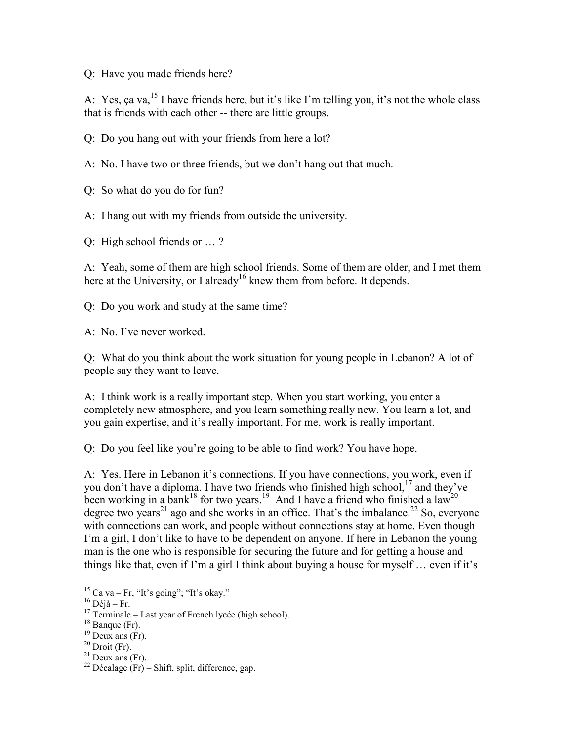Q: Have you made friends here?

A: Yes, ça va, <sup>15</sup> I have friends here, but it's like I'm telling you, it's not the whole class that is friends with each other -- there are little groups.

Q: Do you hang out with your friends from here a lot?

A: No. I have two or three friends, but we don't hang out that much.

Q: So what do you do for fun?

A: I hang out with my friends from outside the university.

Q: High school friends or … ?

A: Yeah, some of them are high school friends. Some of them are older, and I met them here at the University, or I already<sup>16</sup> knew them from before. It depends.

Q: Do you work and study at the same time?

A: No. I've never worked.

Q: What do you think about the work situation for young people in Lebanon? A lot of people say they want to leave.

A: I think work is a really important step. When you start working, you enter a completely new atmosphere, and you learn something really new. You learn a lot, and you gain expertise, and it's really important. For me, work is really important.

Q: Do you feel like you're going to be able to find work? You have hope.

A: Yes. Here in Lebanon it's connections. If you have connections, you work, even if you don't have a diploma. I have two friends who finished high school,<sup>17</sup> and they've been working in a bank<sup>18</sup> for two years.<sup>19</sup> And I have a friend who finished a law<sup>20</sup> degree two years<sup>21</sup> ago and she works in an office. That's the imbalance.<sup>22</sup> So, everyone with connections can work, and people without connections stay at home. Even though I'm a girl, I don't like to have to be dependent on anyone. If here in Lebanon the young man is the one who is responsible for securing the future and for getting a house and things like that, even if I'm a girl I think about buying a house for myself … even if it's

 $\overline{a}$ <sup>15</sup> Ca va – Fr, "It's going"; "It's okay."

 $16$  Déjà – Fr.

<sup>&</sup>lt;sup>17</sup> Terminale – Last year of French lycée (high school).

 $18$  Banque (Fr).

 $19$  Deux ans (Fr).

 $^{20}$  Droit (Fr).

 $^{21}$  Deux ans (Fr).

<sup>&</sup>lt;sup>22</sup> Décalage  $(Fr)$  – Shift, split, difference, gap.